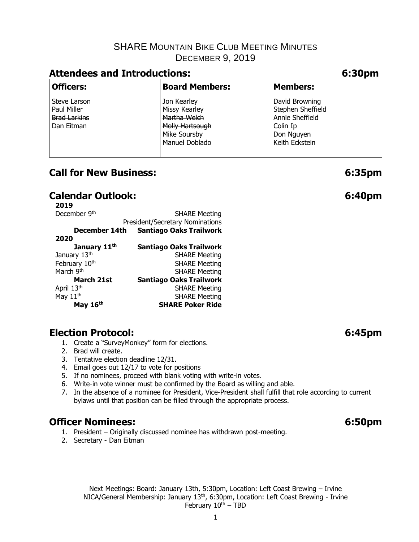# **Attendees and Introductions: 6:30pm**

| .                                                                |                                                                                                          |                                                                                                    |  |  |  |
|------------------------------------------------------------------|----------------------------------------------------------------------------------------------------------|----------------------------------------------------------------------------------------------------|--|--|--|
| <b>Officers:</b>                                                 | <b>Board Members:</b>                                                                                    | <b>Members:</b>                                                                                    |  |  |  |
| Steve Larson<br>Paul Miller<br><b>Brad Larkins</b><br>Dan Eitman | Jon Kearley<br>Missy Kearley<br>Martha Welch<br>Molly Hartsough<br>Mike Soursby<br><b>Manuel Doblado</b> | David Browning<br>Stephen Sheffield<br>Annie Sheffield<br>Colin Ip<br>Don Nguyen<br>Keith Eckstein |  |  |  |

## **Call for New Business: 6:35pm**

# **Calendar Outlook: 6:40pm**

| December 9th             | <b>SHARE Meeting</b>            |
|--------------------------|---------------------------------|
|                          | President/Secretary Nominations |
| December 14th            | <b>Santiago Oaks Trailwork</b>  |
| 2020                     |                                 |
| January 11 <sup>th</sup> | <b>Santiago Oaks Trailwork</b>  |
| January 13th             | <b>SHARE Meeting</b>            |
| February 10th            | <b>SHARE Meeting</b>            |
| March 9th                | <b>SHARE Meeting</b>            |
| March 21st               | <b>Santiago Oaks Trailwork</b>  |
| April 13th               | <b>SHARE Meeting</b>            |
| May 11 <sup>th</sup>     | <b>SHARE Meeting</b>            |
| May 16th                 | <b>SHARE Poker Ride</b>         |

# **Election Protocol: 6:45pm**

- 1. Create a "SurveyMonkey" form for elections.
- 2. Brad will create.
- 3. Tentative election deadline 12/31.
- 4. Email goes out 12/17 to vote for positions
- 5. If no nominees, proceed with blank voting with write-in votes.
- 6. Write-in vote winner must be confirmed by the Board as willing and able.
- 7. In the absence of a nominee for President, Vice-President shall fulfill that role according to current bylaws until that position can be filled through the appropriate process.

# **Officer Nominees: 6:50pm**

- 1. President Originally discussed nominee has withdrawn post-meeting.
- 2. Secretary Dan Eitman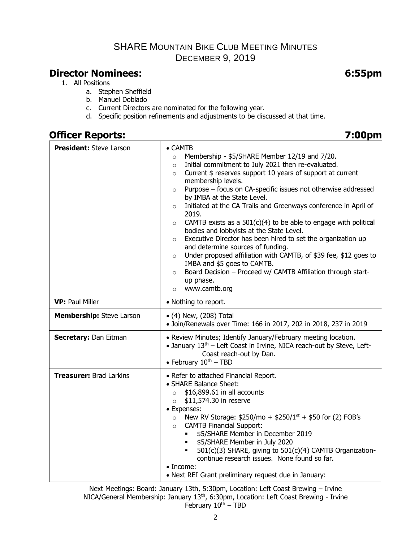# **Director Nominees: 6:55pm**

- 1. All Positions
	- a. Stephen Sheffield
	- b. Manuel Doblado
	- c. Current Directors are nominated for the following year.
	- d. Specific position refinements and adjustments to be discussed at that time.

## **Officer Reports: 7:00pm**

| <b>President: Steve Larson</b>  | $\bullet$ CAMTB<br>Membership - \$5/SHARE Member 12/19 and 7/20.<br>$\circ$<br>Initial commitment to July 2021 then re-evaluated.<br>$\circ$<br>Current \$ reserves support 10 years of support at current<br>$\circ$<br>membership levels.<br>Purpose - focus on CA-specific issues not otherwise addressed<br>$\circ$<br>by IMBA at the State Level.<br>Initiated at the CA Trails and Greenways conference in April of<br>$\circ$<br>2019.<br>CAMTB exists as a $501(c)(4)$ to be able to engage with political<br>$\circ$<br>bodies and lobbyists at the State Level.<br>Executive Director has been hired to set the organization up<br>$\circ$<br>and determine sources of funding.<br>Under proposed affiliation with CAMTB, of \$39 fee, \$12 goes to<br>$\circ$<br>IMBA and \$5 goes to CAMTB.<br>Board Decision - Proceed w/ CAMTB Affiliation through start-<br>$\circ$<br>up phase.<br>www.camtb.org<br>$\circ$ |  |  |
|---------------------------------|-----------------------------------------------------------------------------------------------------------------------------------------------------------------------------------------------------------------------------------------------------------------------------------------------------------------------------------------------------------------------------------------------------------------------------------------------------------------------------------------------------------------------------------------------------------------------------------------------------------------------------------------------------------------------------------------------------------------------------------------------------------------------------------------------------------------------------------------------------------------------------------------------------------------------------|--|--|
| <b>VP: Paul Miller</b>          | • Nothing to report.                                                                                                                                                                                                                                                                                                                                                                                                                                                                                                                                                                                                                                                                                                                                                                                                                                                                                                        |  |  |
| <b>Membership:</b> Steve Larson | $\bullet$ (4) New, (208) Total<br>• Join/Renewals over Time: 166 in 2017, 202 in 2018, 237 in 2019                                                                                                                                                                                                                                                                                                                                                                                                                                                                                                                                                                                                                                                                                                                                                                                                                          |  |  |
| Secretary: Dan Eitman           | • Review Minutes; Identify January/February meeting location.<br>• January 13 <sup>th</sup> – Left Coast in Irvine, NICA reach-out by Steve, Left-<br>Coast reach-out by Dan.<br>• February $10^{th}$ – TBD                                                                                                                                                                                                                                                                                                                                                                                                                                                                                                                                                                                                                                                                                                                 |  |  |
| <b>Treasurer: Brad Larkins</b>  | • Refer to attached Financial Report.<br>• SHARE Balance Sheet:<br>\$16,899.61 in all accounts<br>$\circ$<br>\$11,574.30 in reserve<br>$\circ$<br>• Expenses:<br>New RV Storage: \$250/mo + \$250/1st + \$50 for (2) FOB's<br>$\circ$<br><b>CAMTB Financial Support:</b><br>$\circ$<br>\$5/SHARE Member in December 2019<br><b>55/SHARE Member in July 2020</b><br>501(c)(3) SHARE, giving to 501(c)(4) CAMTB Organization-<br>continue research issues. None found so far.<br>$\bullet$ Income:<br>• Next REI Grant preliminary request due in January:                                                                                                                                                                                                                                                                                                                                                                    |  |  |

Next Meetings: Board: January 13th, 5:30pm, Location: Left Coast Brewing – Irvine NICA/General Membership: January 13<sup>th</sup>, 6:30pm, Location: Left Coast Brewing - Irvine February  $10^{th}$  – TBD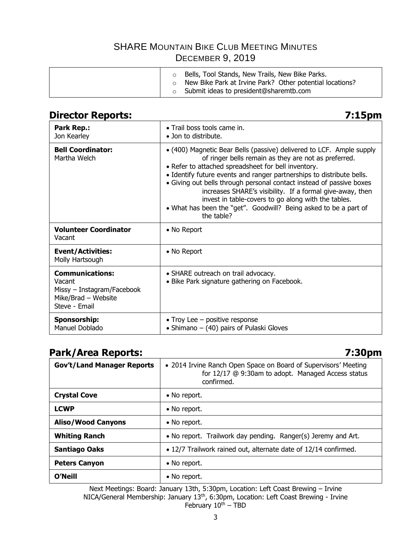| Bells, Tool Stands, New Trails, New Bike Parks.<br>New Bike Park at Irvine Park? Other potential locations?<br>Submit ideas to president@sharemtb.com |  |
|-------------------------------------------------------------------------------------------------------------------------------------------------------|--|
|-------------------------------------------------------------------------------------------------------------------------------------------------------|--|

# **Director Reports: 7:15pm**

| <b>Park Rep.:</b><br>Jon Kearley                                                                       | $\bullet$ Trail boss tools came in.<br>• Jon to distribute.                                                                                                                                                                                                                                                                                                                                                                                                                                                                                |
|--------------------------------------------------------------------------------------------------------|--------------------------------------------------------------------------------------------------------------------------------------------------------------------------------------------------------------------------------------------------------------------------------------------------------------------------------------------------------------------------------------------------------------------------------------------------------------------------------------------------------------------------------------------|
| <b>Bell Coordinator:</b><br>Martha Welch                                                               | • (400) Magnetic Bear Bells (passive) delivered to LCF. Ample supply<br>of ringer bells remain as they are not as preferred.<br>• Refer to attached spreadsheet for bell inventory.<br>• Identify future events and ranger partnerships to distribute bells.<br>• Giving out bells through personal contact instead of passive boxes<br>increases SHARE's visibility. If a formal give-away, then<br>invest in table-covers to go along with the tables.<br>• What has been the "get". Goodwill? Being asked to be a part of<br>the table? |
| <b>Volunteer Coordinator</b><br>Vacant                                                                 | • No Report                                                                                                                                                                                                                                                                                                                                                                                                                                                                                                                                |
| <b>Event/Activities:</b><br>Molly Hartsough                                                            | • No Report                                                                                                                                                                                                                                                                                                                                                                                                                                                                                                                                |
| <b>Communications:</b><br>Vacant<br>Missy - Instagram/Facebook<br>Mike/Brad - Website<br>Steve - Email | • SHARE outreach on trail advocacy.<br>• Bike Park signature gathering on Facebook.                                                                                                                                                                                                                                                                                                                                                                                                                                                        |
| Sponsorship:<br>Manuel Doblado                                                                         | • Troy Lee $-$ positive response<br>• Shimano $-$ (40) pairs of Pulaski Gloves                                                                                                                                                                                                                                                                                                                                                                                                                                                             |

# **Park/Area Reports: 7:30pm**

| . , ,   po.                       | <i>.</i>                                                                                                                            |  |
|-----------------------------------|-------------------------------------------------------------------------------------------------------------------------------------|--|
| <b>Gov't/Land Manager Reports</b> | • 2014 Irvine Ranch Open Space on Board of Supervisors' Meeting<br>for 12/17 @ 9:30am to adopt. Managed Access status<br>confirmed. |  |
| <b>Crystal Cove</b>               | • No report.                                                                                                                        |  |
| <b>LCWP</b>                       | • No report.                                                                                                                        |  |
| <b>Aliso/Wood Canyons</b>         | • No report.                                                                                                                        |  |
| <b>Whiting Ranch</b>              | • No report. Trailwork day pending. Ranger(s) Jeremy and Art.                                                                       |  |
| <b>Santiago Oaks</b>              | • 12/7 Trailwork rained out, alternate date of 12/14 confirmed.                                                                     |  |
| <b>Peters Canyon</b>              | • No report.                                                                                                                        |  |
| <b>O'Neill</b>                    | • No report.                                                                                                                        |  |

Next Meetings: Board: January 13th, 5:30pm, Location: Left Coast Brewing – Irvine NICA/General Membership: January 13th, 6:30pm, Location: Left Coast Brewing - Irvine February  $10^{th}$  – TBD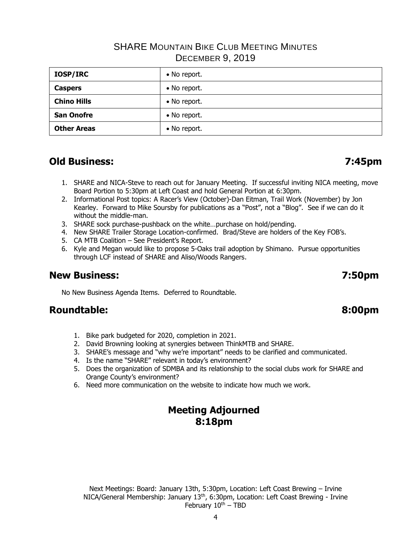| <b>IOSP/IRC</b>    | • No report. |
|--------------------|--------------|
| <b>Caspers</b>     | • No report. |
| <b>Chino Hills</b> | • No report. |
| <b>San Onofre</b>  | • No report. |
| <b>Other Areas</b> | • No report. |

# **Old Business: 7:45pm**

- 1. SHARE and NICA-Steve to reach out for January Meeting. If successful inviting NICA meeting, move Board Portion to 5:30pm at Left Coast and hold General Portion at 6:30pm.
- 2. Informational Post topics: A Racer's View (October)-Dan Eitman, Trail Work (November) by Jon Kearley. Forward to Mike Soursby for publications as a "Post", not a "Blog". See if we can do it without the middle-man.
- 3. SHARE sock purchase-pushback on the white…purchase on hold/pending.
- 4. New SHARE Trailer Storage Location-confirmed. Brad/Steve are holders of the Key FOB's.
- 5. CA MTB Coalition See President's Report.
- 6. Kyle and Megan would like to propose 5-Oaks trail adoption by Shimano. Pursue opportunities through LCF instead of SHARE and Aliso/Woods Rangers.

### **New Business: 7:50pm**

No New Business Agenda Items. Deferred to Roundtable.

### **Roundtable: 8:00pm**

- 1. Bike park budgeted for 2020, completion in 2021.
- 2. David Browning looking at synergies between ThinkMTB and SHARE.
- 3. SHARE's message and "why we're important" needs to be clarified and communicated.
- 4. Is the name "SHARE" relevant in today's environment?
- 5. Does the organization of SDMBA and its relationship to the social clubs work for SHARE and Orange County's environment?
- 6. Need more communication on the website to indicate how much we work.

## **Meeting Adjourned 8:18pm**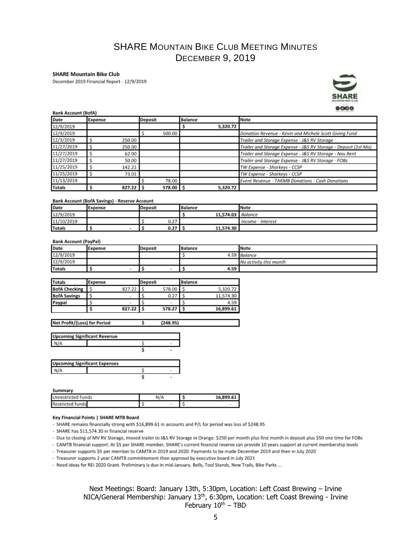#### **SHARE Mountain Bike Club**

December 2019 Financial Report - 12/9/2019



#### **Bank Account (BofA)**

| <b>DANK ACCOUNT (DOTA)</b> |                    |           |                |                                                                 |  |  |  |
|----------------------------|--------------------|-----------|----------------|-----------------------------------------------------------------|--|--|--|
| Date                       | Deposit<br>Expense |           | <b>Balance</b> | Note                                                            |  |  |  |
| 12/9/2019                  |                    |           | 5,320.72       |                                                                 |  |  |  |
| 12/9/2019                  |                    | 500.00    |                | Donation Revenue - Kevin and Michele Scott Giving Fund          |  |  |  |
| 12/3/2019                  | 250.00             |           |                | Trailer and Storage Expense - J&S RV Storage                    |  |  |  |
| 11/27/2019                 | 250.00             |           |                | Trailer and Storage Expense - J&S RV Storage - Deposit (1st Mo) |  |  |  |
| 11/27/2019                 | 62.00              |           |                | Trailer and Storage Expense - J&S RV Storage - Nov Rent         |  |  |  |
| 11/27/2019                 | 50.00              |           |                | Trailer and Storage Expense - J&S RV Storage - FOBs             |  |  |  |
| 11/25/2019                 | 142.21             |           |                | TW Expense - Sharkeys - CCSP                                    |  |  |  |
| 11/25/2019                 | 73.01              |           |                | TW Expense - Sharkeys - CCSP                                    |  |  |  |
| 11/13/2019                 |                    | 78.00     |                | Event Revenue - TAKMB Donations - Cash Donations                |  |  |  |
| <b>Totals</b>              | $827.22$ \$        | 578.00 \$ | 5,320.72       |                                                                 |  |  |  |

#### **Bank Account (BofA Savings) - Reserve Account**

| Date          | Expense | <b>Deposit</b> | <b>Balance</b>    | Note              |
|---------------|---------|----------------|-------------------|-------------------|
| 12/9/2019     |         |                | 11,574.03 Balance |                   |
| 11/10/2019    |         | 0.27           |                   | Income - Interest |
| <b>Totals</b> |         | 0.27           | 11,574.30         |                   |

#### **Bank Account (PayPal)**

| Date          | Expense | Deposit | Balance | Note                   |
|---------------|---------|---------|---------|------------------------|
| 12/9/2019     |         |         |         | 4.59 Balance           |
| 12/9/2019     |         |         |         | No activity this month |
| <b>Totals</b> |         |         | 4.59    |                        |

| <b>Totals</b>        | Expense |        | Deposit |                          | <b>Balance</b> |           |
|----------------------|---------|--------|---------|--------------------------|----------------|-----------|
| <b>BofA Checking</b> |         | 827.22 |         | 578.00                   |                | 5,320.72  |
| <b>BofA Savings</b>  |         | $\sim$ |         | 0.27                     |                | 11.574.30 |
| Paypal               |         | $\sim$ |         | $\overline{\phantom{a}}$ |                | 4.59      |
|                      |         | 827.22 |         | 578.27                   |                | 16,899.61 |

| Net Profit/(Loss) for Period | (248.95) |  |
|------------------------------|----------|--|
|                              |          |  |

| <b>Upcoming Significant Revenue</b> |  |
|-------------------------------------|--|
| N/A                                 |  |
|                                     |  |

| <b>Upcoming Significant Expenses</b> |  |  |
|--------------------------------------|--|--|
|                                      |  |  |
|                                      |  |  |

#### Summary

| <b>Unrestricted Funds</b> | N/A | 16.899.61 |  |  |
|---------------------------|-----|-----------|--|--|
| <b>Restricted funds</b>   |     |           |  |  |

#### Key Financial Points | SHARE MTB Board

- SHARE remains financially strong with \$16,899.61 in accounts and P/L for period was loss of \$248.95

- SHARE has \$11,574.30 in financial reserve

- Due to closing of MV RV Storage, moved trailer to J&S RV Storage in Orange. \$250 per month plus first month in deposit plus \$50 one time for FOBs

- CAMTB financial support: At \$5 per SHARE member, SHARE's current financial reserve can provide 10 years support at current membership levels

- Treasurer supports \$5 per member to CAMTB in 2019 and 2020. Payments to be made December 2019 and then in July 2020

- Treasurer supports 2 year CAMTB committement then approval by executive board in July 2021

- Need ideas for REI 2020 Grant. Preliminary is due in mid-January. Bells, Tool Stands, New Trails, Bike Parks ...

Next Meetings: Board: January 13th, 5:30pm, Location: Left Coast Brewing – Irvine NICA/General Membership: January 13<sup>th</sup>, 6:30pm, Location: Left Coast Brewing - Irvine February  $10^{th}$  – TBD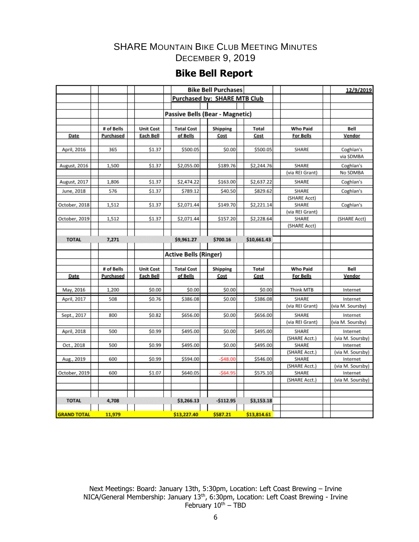# **Bike Bell Report**

|                    |            |                  |                                 | <b>Bike Bell Purchases</b>   |             |                       | 12/9/2019        |
|--------------------|------------|------------------|---------------------------------|------------------------------|-------------|-----------------------|------------------|
|                    |            |                  |                                 | Purchased by: SHARE MTB Club |             |                       |                  |
|                    |            |                  |                                 |                              |             |                       |                  |
|                    |            |                  | Passive Bells (Bear - Magnetic) |                              |             |                       |                  |
|                    |            |                  |                                 |                              |             |                       |                  |
|                    | # of Bells | <b>Unit Cost</b> | <b>Total Cost</b>               | Shipping                     | Total       | <b>Who Paid</b>       | Bell             |
| Date               | Purchased  | Each Bell        | of Bells                        | Cost                         | Cost        | For Bells             | Vendor           |
|                    |            |                  |                                 |                              |             |                       |                  |
| April, 2016        | 365        | \$1.37           | \$500.05                        | \$0.00                       | \$500.05    | SHARE                 | Coghlan's        |
|                    |            |                  |                                 |                              |             |                       | via SDMBA        |
| August, 2016       | 1,500      | \$1.37           | \$2,055.00                      | \$189.76                     | \$2,244.76  | SHARE                 | Coghlan's        |
|                    |            |                  |                                 |                              |             | (via REI Grant)       | No SDMBA         |
| August, 2017       | 1,806      | \$1.37           | \$2,474.22                      | \$163.00                     | \$2,637.22  | SHARE                 | Coghlan's        |
|                    |            |                  |                                 |                              |             |                       |                  |
| June, 2018         | 576        | \$1.37           | \$789.12                        | \$40.50                      | \$829.62    | SHARE                 | Coghlan's        |
| October, 2018      | 1,512      | \$1.37           | \$2,071.44                      | \$149.70                     |             | (SHARE Acct)<br>SHARE |                  |
|                    |            |                  |                                 |                              | \$2,221.14  | (via REI Grant)       | Coghlan's        |
| October, 2019      | 1,512      | \$1.37           | \$2,071.44                      | \$157.20                     | \$2,228.64  | SHARE                 | (SHARE Acct)     |
|                    |            |                  |                                 |                              |             | (SHARE Acct)          |                  |
|                    |            |                  |                                 |                              |             |                       |                  |
| <b>TOTAL</b>       | 7,271      |                  | \$9,961.27                      | \$700.16                     | \$10,661.43 |                       |                  |
|                    |            |                  |                                 |                              |             |                       |                  |
|                    |            |                  | <b>Active Bells (Ringer)</b>    |                              |             |                       |                  |
|                    |            |                  |                                 |                              |             |                       |                  |
|                    | # of Bells | <b>Unit Cost</b> | <b>Total Cost</b>               | Shipping                     | Total       | Who Paid              | Bell             |
| Date               | Purchased  | Each Bell        | of Bells                        | Cost                         | Cost        | <b>For Bells</b>      | Vendor           |
|                    |            |                  |                                 |                              |             |                       |                  |
| May, 2016          | 1,200      | \$0.00           | \$0.00                          | \$0.00                       | \$0.00      | Think MTB             | Internet         |
| April, 2017        | 508        | \$0.76           | \$386.08                        | \$0.00                       | \$386.08    | SHARE                 | Internet         |
|                    |            |                  |                                 |                              |             | (via REI Grant)       | (via M. Soursby) |
| Sept., 2017        | 800        | \$0.82           | \$656.00                        | \$0.00                       | \$656.00    | SHARE                 | Internet         |
|                    |            |                  |                                 |                              |             | (via REI Grant)       | (via M. Soursby) |
| April, 2018        | 500        | \$0.99           | \$495.00                        | \$0.00                       | \$495.00    | SHARE                 | Internet         |
|                    |            |                  |                                 |                              |             | (SHARE Acct.)         | (via M. Soursby) |
| Oct., 2018         | 500        | \$0.99           | \$495.00                        | \$0.00                       | \$495.00    | SHARE                 | Internet         |
|                    |            |                  |                                 |                              |             | (SHARE Acct.)         | (via M. Soursby) |
| Aug., 2019         | 600        | \$0.99           | \$594.00                        | $-548.00$                    | \$546.00    | SHARE                 | Internet         |
|                    |            |                  |                                 |                              |             | (SHARE Acct.)         | (via M. Soursby) |
| October, 2019      | 600        | \$1.07           | \$640.05                        | $-$ \$64.95                  | \$575.10    | SHARE                 | Internet         |
|                    |            |                  |                                 |                              |             | (SHARE Acct.)         | (via M. Soursby) |
|                    |            |                  |                                 |                              |             |                       |                  |
|                    |            |                  |                                 |                              |             |                       |                  |
| <b>TOTAL</b>       | 4,708      |                  | \$3,266.13                      | $-5112.95$                   | \$3,153.18  |                       |                  |
|                    |            |                  |                                 |                              |             |                       |                  |
| <b>GRAND TOTAL</b> | 11,979     |                  | \$13,227.40                     | \$587.21                     | \$13,814.61 |                       |                  |

Next Meetings: Board: January 13th, 5:30pm, Location: Left Coast Brewing – Irvine NICA/General Membership: January 13<sup>th</sup>, 6:30pm, Location: Left Coast Brewing - Irvine February 10<sup>th</sup> – TBD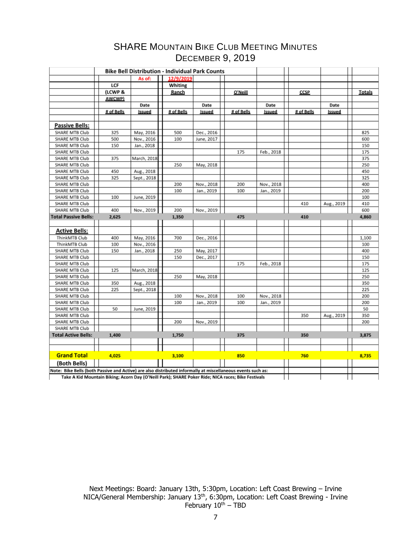|                                                                                                             |               | <b>Bike Bell Distribution - Individual Park Counts</b> |            |            |            |            |            |            |               |
|-------------------------------------------------------------------------------------------------------------|---------------|--------------------------------------------------------|------------|------------|------------|------------|------------|------------|---------------|
|                                                                                                             |               | As of:                                                 | 12/9/2019  |            |            |            |            |            |               |
|                                                                                                             | LCF           |                                                        | Whiting    |            |            |            |            |            |               |
|                                                                                                             | (LCWP &       |                                                        | Ranch      |            | O'Neill    |            | CCSP       |            | <b>Totals</b> |
|                                                                                                             | <b>AWCWP)</b> |                                                        |            |            |            |            |            |            |               |
|                                                                                                             |               | Date                                                   |            | Date       |            | Date       |            | Date       |               |
|                                                                                                             | # of Bells    | Issued                                                 | # of Bells | Issued     | # of Bells | Issued     | # of Bells | Issued     |               |
|                                                                                                             |               |                                                        |            |            |            |            |            |            |               |
| <b>Passive Bells:</b>                                                                                       |               |                                                        |            |            |            |            |            |            |               |
| SHARE MTB Club                                                                                              | 325           | May, 2016                                              | 500        | Dec., 2016 |            |            |            |            | 825           |
| SHARE MTB Club                                                                                              | 500           | Nov., 2016                                             | 100        | June, 2017 |            |            |            |            | 600           |
| SHARE MTB Club                                                                                              | 150           | Jan., 2018                                             |            |            |            |            |            |            | 150           |
| SHARE MTB Club                                                                                              |               |                                                        |            |            | 175        | Feb., 2018 |            |            | 175           |
| SHARE MTB Club                                                                                              | 375           | March, 2018                                            |            |            |            |            |            |            | 375           |
| SHARE MTB Club                                                                                              |               |                                                        | 250        | May, 2018  |            |            |            |            | 250           |
| SHARE MTB Club                                                                                              | 450           | Aug., 2018                                             |            |            |            |            |            |            | 450           |
| SHARE MTB Club                                                                                              | 325           | Sept., 2018                                            |            |            |            |            |            |            | 325           |
| SHARE MTB Club                                                                                              |               |                                                        | 200        | Nov., 2018 | 200        | Nov., 2018 |            |            | 400           |
| SHARE MTB Club                                                                                              |               |                                                        | 100        | Jan., 2019 | 100        | Jan., 2019 |            |            | 200           |
| SHARE MTB Club                                                                                              | 100           | June, 2019                                             |            |            |            |            |            |            | 100           |
| SHARE MTB Club                                                                                              |               |                                                        |            |            |            |            | 410        | Aug., 2019 | 410           |
| SHARE MTB Club                                                                                              | 400           | Nov., 2019                                             | 200        | Nov., 2019 |            |            |            |            | 600           |
| <b>Total Passive Bells:</b>                                                                                 | 2,625         |                                                        | 1,350      |            | 475        |            | 410        |            | 4,860         |
|                                                                                                             |               |                                                        |            |            |            |            |            |            |               |
| <b>Active Bells:</b>                                                                                        |               |                                                        |            |            |            |            |            |            |               |
| ThinkMTB Club<br>ThinkMTB Club                                                                              | 400<br>100    | May, 2016<br>Nov., 2016                                | 700        | Dec., 2016 |            |            |            |            | 1,100<br>100  |
| SHARE MTB Club                                                                                              | 150           | Jan., 2018                                             | 250        | May, 2017  |            |            |            |            | 400           |
| SHARE MTB Club                                                                                              |               |                                                        | 150        | Dec., 2017 |            |            |            |            | 150           |
| SHARE MTB Club                                                                                              |               |                                                        |            |            | 175        | Feb., 2018 |            |            | 175           |
| SHARE MTB Club                                                                                              | 125           | March, 2018                                            |            |            |            |            |            |            | 125           |
| SHARE MTB Club                                                                                              |               |                                                        | 250        | May, 2018  |            |            |            |            | 250           |
| SHARE MTB Club                                                                                              | 350           | Aug., 2018                                             |            |            |            |            |            |            | 350           |
| SHARE MTB Club                                                                                              | 225           | Sept., 2018                                            |            |            |            |            |            |            | 225           |
| SHARE MTB Club                                                                                              |               |                                                        | 100        | Nov., 2018 | 100        | Nov., 2018 |            |            | 200           |
| SHARE MTB Club                                                                                              |               |                                                        | 100        | Jan., 2019 | 100        | Jan., 2019 |            |            | 200           |
| SHARE MTB Club                                                                                              | 50            | June, 2019                                             |            |            |            |            |            |            | 50            |
| SHARE MTB Club                                                                                              |               |                                                        |            |            |            |            | 350        | Aug., 2019 | 350           |
| SHARE MTB Club                                                                                              |               |                                                        | 200        | Nov., 2019 |            |            |            |            | 200           |
| SHARE MTB Club                                                                                              |               |                                                        |            |            |            |            |            |            |               |
| <b>Total Active Bells:</b>                                                                                  | 1,400         |                                                        | 1,750      |            | 375        |            | 350        |            | 3,875         |
|                                                                                                             |               |                                                        |            |            |            |            |            |            |               |
|                                                                                                             |               |                                                        |            |            |            |            |            |            |               |
| <b>Grand Total</b>                                                                                          | 4,025         |                                                        | 3,100      |            | 850        |            | 760        |            | 8,735         |
| (Both Bells)                                                                                                |               |                                                        |            |            |            |            |            |            |               |
| Note: Bike Bells (both Passive and Active) are also distributed informally at miscellaneous events such as: |               |                                                        |            |            |            |            |            |            |               |
| Take A Kid Mountain Biking; Acorn Day (O'Neill Park); SHARE Poker Ride; NICA races; Bike Festivals          |               |                                                        |            |            |            |            |            |            |               |

Next Meetings: Board: January 13th, 5:30pm, Location: Left Coast Brewing – Irvine NICA/General Membership: January 13<sup>th</sup>, 6:30pm, Location: Left Coast Brewing - Irvine February 10<sup>th</sup> – TBD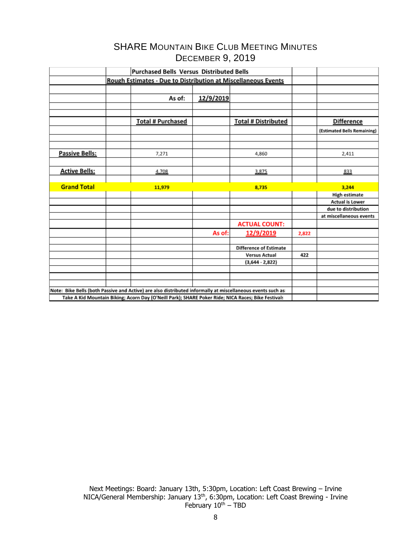|                      | Purchased Bells Versus Distributed Bells                                                                    |           |                               |       |                             |
|----------------------|-------------------------------------------------------------------------------------------------------------|-----------|-------------------------------|-------|-----------------------------|
|                      | <b>Rough Estimates - Due to Distribution at Miscellaneous Events</b>                                        |           |                               |       |                             |
|                      |                                                                                                             |           |                               |       |                             |
|                      | As of:                                                                                                      | 12/9/2019 |                               |       |                             |
|                      |                                                                                                             |           |                               |       |                             |
|                      |                                                                                                             |           |                               |       |                             |
|                      | <b>Total # Purchased</b>                                                                                    |           | <b>Total # Distributed</b>    |       | <b>Difference</b>           |
|                      |                                                                                                             |           |                               |       | (Estimated Bells Remaining) |
|                      |                                                                                                             |           |                               |       |                             |
|                      |                                                                                                             |           |                               |       |                             |
| Passive Bells:       | 7,271                                                                                                       |           | 4,860                         |       | 2,411                       |
|                      |                                                                                                             |           |                               |       |                             |
| <b>Active Bells:</b> | 4,708                                                                                                       |           | 3,875                         |       | 833                         |
|                      |                                                                                                             |           |                               |       |                             |
| <b>Grand Total</b>   |                                                                                                             |           |                               |       |                             |
|                      | 11,979                                                                                                      |           | 8,735                         |       | 3,244                       |
|                      |                                                                                                             |           |                               |       | <b>High estimate</b>        |
|                      |                                                                                                             |           |                               |       | <b>Actual is Lower</b>      |
|                      |                                                                                                             |           |                               |       | due to distribution         |
|                      |                                                                                                             |           |                               |       | at miscellaneous events     |
|                      |                                                                                                             |           | <b>ACTUAL COUNT:</b>          |       |                             |
|                      |                                                                                                             | As of:    | 12/9/2019                     | 2,822 |                             |
|                      |                                                                                                             |           |                               |       |                             |
|                      |                                                                                                             |           | <b>Difference of Estimate</b> |       |                             |
|                      |                                                                                                             |           | <b>Versus Actual</b>          | 422   |                             |
|                      |                                                                                                             |           | $(3,644 - 2,822)$             |       |                             |
|                      |                                                                                                             |           |                               |       |                             |
|                      |                                                                                                             |           |                               |       |                             |
|                      |                                                                                                             |           |                               |       |                             |
|                      | Note: Bike Bells (both Passive and Active) are also distributed informally at miscellaneous events such as: |           |                               |       |                             |

Next Meetings: Board: January 13th, 5:30pm, Location: Left Coast Brewing – Irvine NICA/General Membership: January 13<sup>th</sup>, 6:30pm, Location: Left Coast Brewing - Irvine February 10<sup>th</sup> – TBD